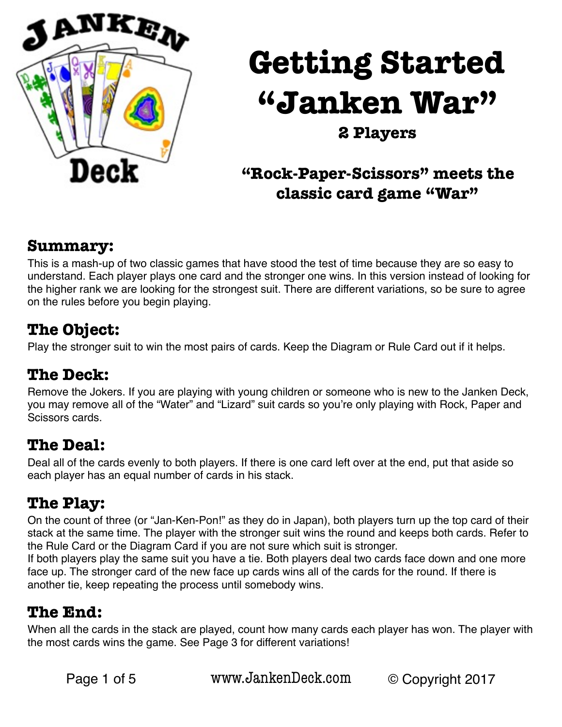

# **Getting Started "Janken War"**

# **2 Players**

# **"Rock-Paper-Scissors" meets the classic card game "War"**

#### **Summary:**

This is a mash-up of two classic games that have stood the test of time because they are so easy to understand. Each player plays one card and the stronger one wins. In this version instead of looking for the higher rank we are looking for the strongest suit. There are different variations, so be sure to agree on the rules before you begin playing.

#### **The Object:**

Play the stronger suit to win the most pairs of cards. Keep the Diagram or Rule Card out if it helps.

#### **The Deck:**

Remove the Jokers. If you are playing with young children or someone who is new to the Janken Deck, you may remove all of the "Water" and "Lizard" suit cards so you're only playing with Rock, Paper and Scissors cards.

#### **The Deal:**

Deal all of the cards evenly to both players. If there is one card left over at the end, put that aside so each player has an equal number of cards in his stack.

#### **The Play:**

On the count of three (or "Jan-Ken-Pon!" as they do in Japan), both players turn up the top card of their stack at the same time. The player with the stronger suit wins the round and keeps both cards. Refer to the Rule Card or the Diagram Card if you are not sure which suit is stronger.

If both players play the same suit you have a tie. Both players deal two cards face down and one more face up. The stronger card of the new face up cards wins all of the cards for the round. If there is another tie, keep repeating the process until somebody wins.

#### **The End:**

When all the cards in the stack are played, count how many cards each player has won. The player with the most cards wins the game. See Page 3 for different variations!

Page 1 of 5 [www.JankenDeck.com](http://www.JankenDeck.com) © Copyright 2017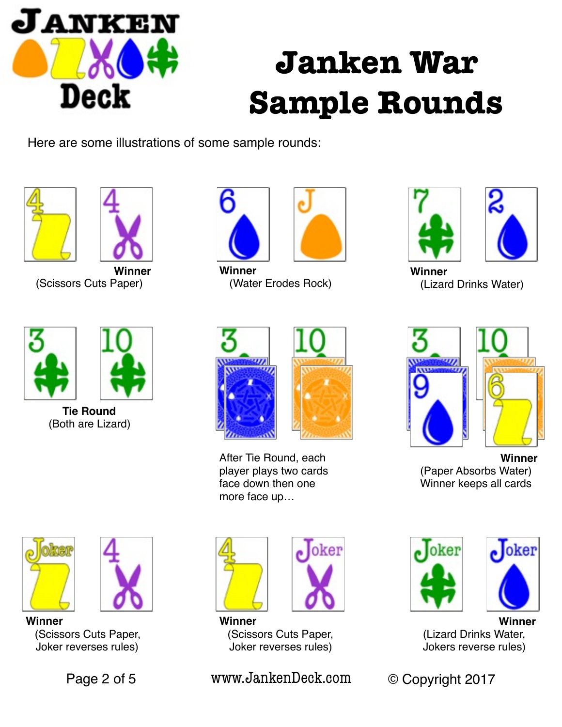

# **Janken War Sample Rounds**

Here are some illustrations of some sample rounds:





**Winner** (Scissors Cuts Paper)



**Winner** (Water Erodes Rock)





**Winner** (Lizard Drinks Water)



**Tie Round** (Both are Lizard)



After Tie Round, each player plays two cards face down then one more face up…





**Winner** (Paper Absorbs Water) Winner keeps all cards

oker



**Winner** (Scissors Cuts Paper, Joker reverses rules)





**Winner** (Scissors Cuts Paper, Joker reverses rules)

Page 2 of 5 [www.JankenDeck.com](http://www.JankenDeck.com) © Copyright 2017



**Winner** (Lizard Drinks Water, Jokers reverse rules)

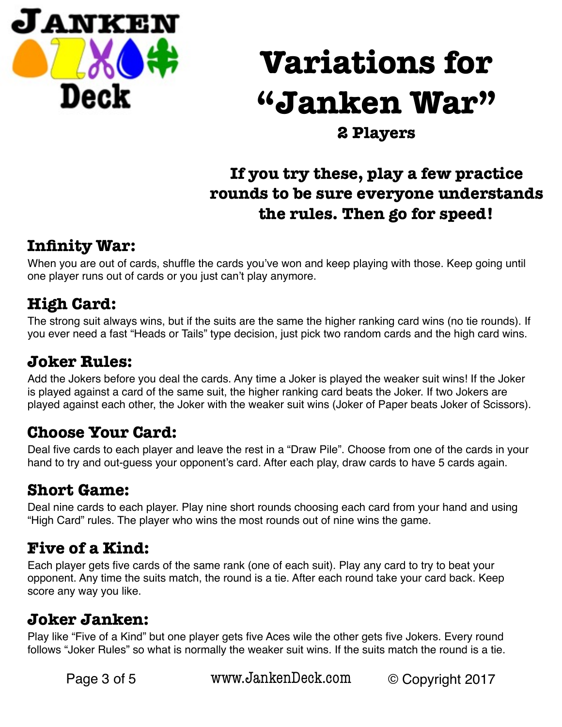

# **Variations for "Janken War"**

**2 Players** 

# **If you try these, play a few practice rounds to be sure everyone understands the rules. Then go for speed!**

# **Infinity War:**

When you are out of cards, shuffle the cards you've won and keep playing with those. Keep going until one player runs out of cards or you just can't play anymore.

# **High Card:**

The strong suit always wins, but if the suits are the same the higher ranking card wins (no tie rounds). If you ever need a fast "Heads or Tails" type decision, just pick two random cards and the high card wins.

### **Joker Rules:**

Add the Jokers before you deal the cards. Any time a Joker is played the weaker suit wins! If the Joker is played against a card of the same suit, the higher ranking card beats the Joker. If two Jokers are played against each other, the Joker with the weaker suit wins (Joker of Paper beats Joker of Scissors).

# **Choose Your Card:**

Deal five cards to each player and leave the rest in a "Draw Pile". Choose from one of the cards in your hand to try and out-guess your opponent's card. After each play, draw cards to have 5 cards again.

# **Short Game:**

Deal nine cards to each player. Play nine short rounds choosing each card from your hand and using "High Card" rules. The player who wins the most rounds out of nine wins the game.

# **Five of a Kind:**

Each player gets five cards of the same rank (one of each suit). Play any card to try to beat your opponent. Any time the suits match, the round is a tie. After each round take your card back. Keep score any way you like.

#### **Joker Janken:**

Play like "Five of a Kind" but one player gets five Aces wile the other gets five Jokers. Every round follows "Joker Rules" so what is normally the weaker suit wins. If the suits match the round is a tie.

Page 3 of 5 [www.JankenDeck.com](http://www.JankenDeck.com) © Copyright 2017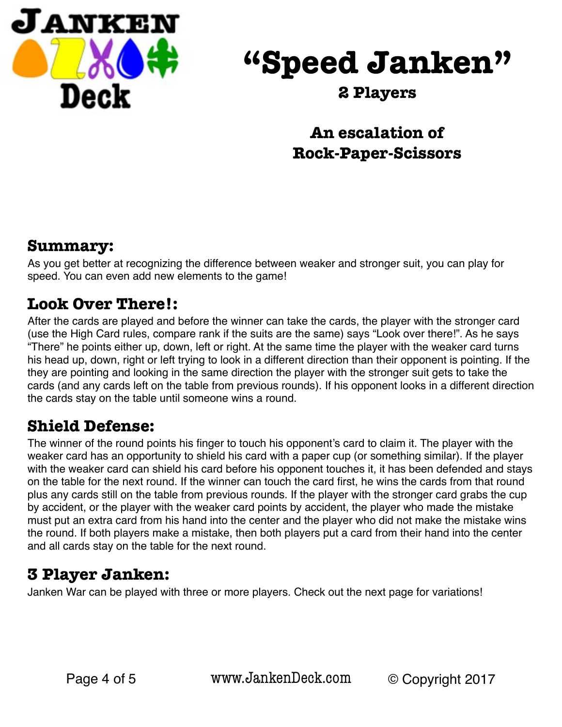

# **"Speed Janken"**

#### **2 Players**

# **An escalation of Rock-Paper-Scissors**

#### **Summary:**

As you get better at recognizing the difference between weaker and stronger suit, you can play for speed. You can even add new elements to the game!

### **Look Over There!:**

After the cards are played and before the winner can take the cards, the player with the stronger card (use the High Card rules, compare rank if the suits are the same) says "Look over there!". As he says "There" he points either up, down, left or right. At the same time the player with the weaker card turns his head up, down, right or left trying to look in a different direction than their opponent is pointing. If the they are pointing and looking in the same direction the player with the stronger suit gets to take the cards (and any cards left on the table from previous rounds). If his opponent looks in a different direction the cards stay on the table until someone wins a round.

# **Shield Defense:**

The winner of the round points his finger to touch his opponent's card to claim it. The player with the weaker card has an opportunity to shield his card with a paper cup (or something similar). If the player with the weaker card can shield his card before his opponent touches it, it has been defended and stays on the table for the next round. If the winner can touch the card first, he wins the cards from that round plus any cards still on the table from previous rounds. If the player with the stronger card grabs the cup by accident, or the player with the weaker card points by accident, the player who made the mistake must put an extra card from his hand into the center and the player who did not make the mistake wins the round. If both players make a mistake, then both players put a card from their hand into the center and all cards stay on the table for the next round.

# **3 Player Janken:**

Janken War can be played with three or more players. Check out the next page for variations!